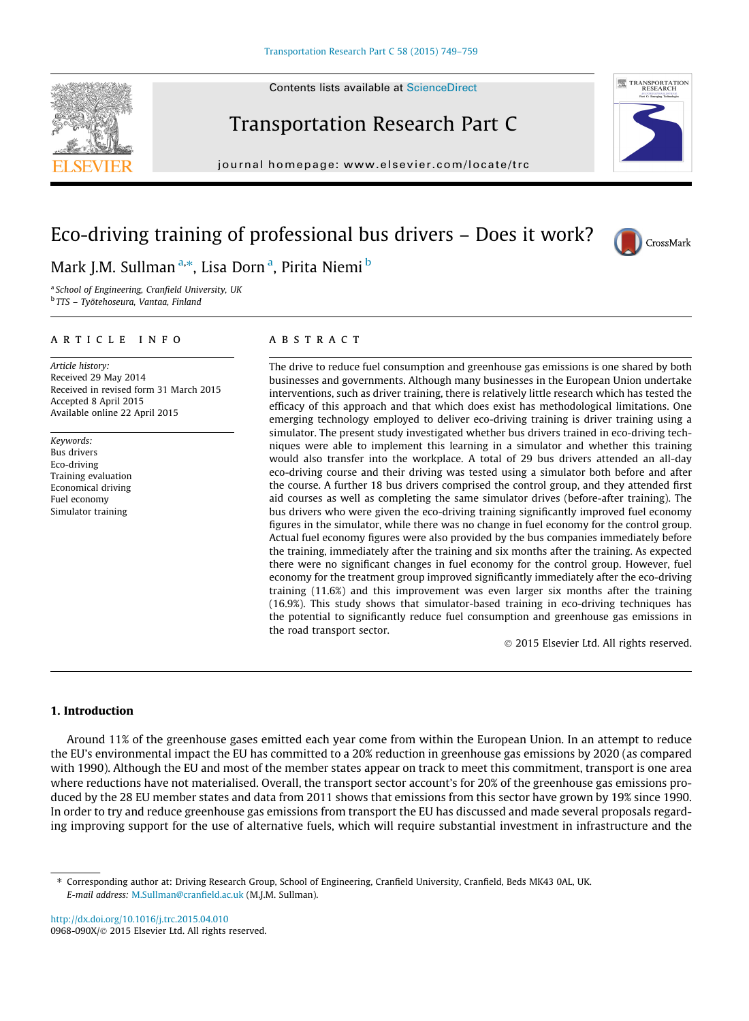Contents lists available at [ScienceDirect](http://www.sciencedirect.com/science/journal/0968090X)

# Transportation Research Part C

journal homepage: www.el[sevier.com/locate/trc](http://www.elsevier.com/locate/trc)

# Eco-driving training of professional bus drivers – Does it work?

Mark J.M. Sullman <sup>a,</sup>\*, Lisa Dorn <sup>a</sup>, Pirita Niemi <sup>b</sup>

<sup>a</sup> School of Engineering, Cranfield University, UK <sup>b</sup> TTS – Työtehoseura, Vantaa, Finland

# article info

Article history: Received 29 May 2014 Received in revised form 31 March 2015 Accepted 8 April 2015 Available online 22 April 2015

Keywords: Bus drivers Eco-driving Training evaluation Economical driving Fuel economy Simulator training

# **ABSTRACT**

The drive to reduce fuel consumption and greenhouse gas emissions is one shared by both businesses and governments. Although many businesses in the European Union undertake interventions, such as driver training, there is relatively little research which has tested the efficacy of this approach and that which does exist has methodological limitations. One emerging technology employed to deliver eco-driving training is driver training using a simulator. The present study investigated whether bus drivers trained in eco-driving techniques were able to implement this learning in a simulator and whether this training would also transfer into the workplace. A total of 29 bus drivers attended an all-day eco-driving course and their driving was tested using a simulator both before and after the course. A further 18 bus drivers comprised the control group, and they attended first aid courses as well as completing the same simulator drives (before-after training). The bus drivers who were given the eco-driving training significantly improved fuel economy figures in the simulator, while there was no change in fuel economy for the control group. Actual fuel economy figures were also provided by the bus companies immediately before the training, immediately after the training and six months after the training. As expected there were no significant changes in fuel economy for the control group. However, fuel economy for the treatment group improved significantly immediately after the eco-driving training (11.6%) and this improvement was even larger six months after the training (16.9%). This study shows that simulator-based training in eco-driving techniques has the potential to significantly reduce fuel consumption and greenhouse gas emissions in the road transport sector.

- 2015 Elsevier Ltd. All rights reserved.

# 1. Introduction

Around 11% of the greenhouse gases emitted each year come from within the European Union. In an attempt to reduce the EU's environmental impact the EU has committed to a 20% reduction in greenhouse gas emissions by 2020 (as compared with 1990). Although the EU and most of the member states appear on track to meet this commitment, transport is one area where reductions have not materialised. Overall, the transport sector account's for 20% of the greenhouse gas emissions produced by the 28 EU member states and data from 2011 shows that emissions from this sector have grown by 19% since 1990. In order to try and reduce greenhouse gas emissions from transport the EU has discussed and made several proposals regarding improving support for the use of alternative fuels, which will require substantial investment in infrastructure and the

<http://dx.doi.org/10.1016/j.trc.2015.04.010> 0968-090X/© 2015 Elsevier Ltd. All rights reserved.







<sup>⇑</sup> Corresponding author at: Driving Research Group, School of Engineering, Cranfield University, Cranfield, Beds MK43 0AL, UK. E-mail address: [M.Sullman@cranfield.ac.uk](mailto:M.Sullman@cranfield.ac.uk) (M.J.M. Sullman).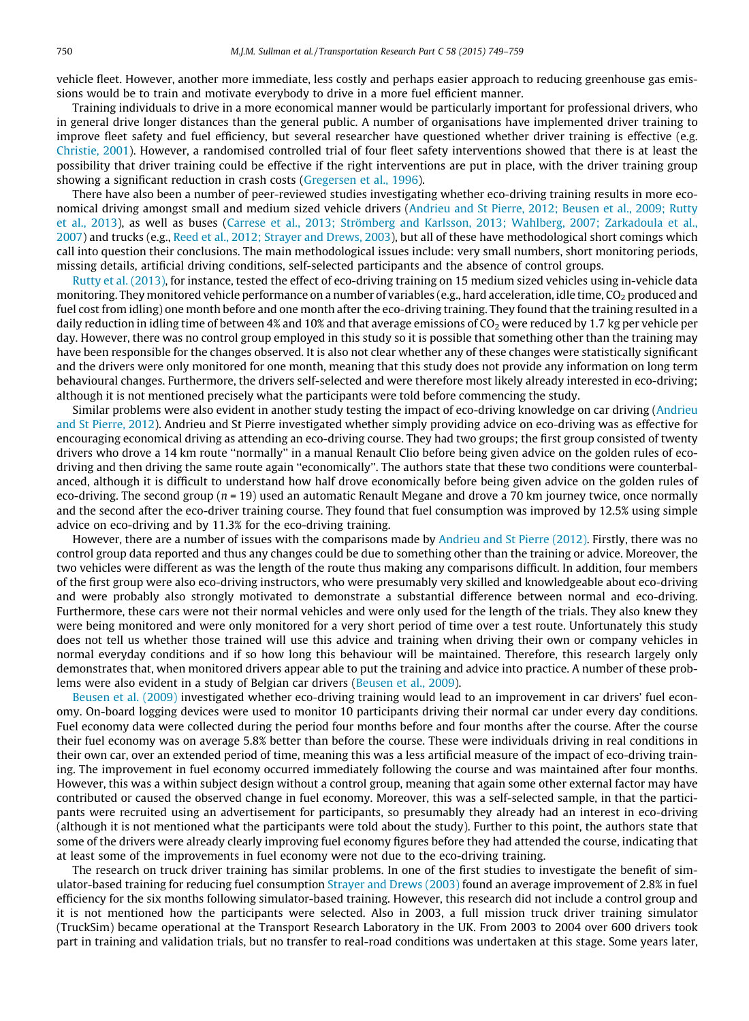vehicle fleet. However, another more immediate, less costly and perhaps easier approach to reducing greenhouse gas emissions would be to train and motivate everybody to drive in a more fuel efficient manner.

Training individuals to drive in a more economical manner would be particularly important for professional drivers, who in general drive longer distances than the general public. A number of organisations have implemented driver training to improve fleet safety and fuel efficiency, but several researcher have questioned whether driver training is effective (e.g. [Christie, 2001\)](#page-10-0). However, a randomised controlled trial of four fleet safety interventions showed that there is at least the possibility that driver training could be effective if the right interventions are put in place, with the driver training group showing a significant reduction in crash costs ([Gregersen et al., 1996](#page-10-0)).

There have also been a number of peer-reviewed studies investigating whether eco-driving training results in more economical driving amongst small and medium sized vehicle drivers [\(Andrieu and St Pierre, 2012; Beusen et al., 2009; Rutty](#page-9-0) [et al., 2013](#page-9-0)), as well as buses [\(Carrese et al., 2013; Strömberg and Karlsson, 2013; Wahlberg, 2007; Zarkadoula et al.,](#page-9-0) [2007](#page-9-0)) and trucks (e.g., [Reed et al., 2012; Strayer and Drews, 2003](#page-10-0)), but all of these have methodological short comings which call into question their conclusions. The main methodological issues include: very small numbers, short monitoring periods, missing details, artificial driving conditions, self-selected participants and the absence of control groups.

[Rutty et al. \(2013\)](#page-10-0), for instance, tested the effect of eco-driving training on 15 medium sized vehicles using in-vehicle data monitoring. They monitored vehicle performance on a number of variables (e.g., hard acceleration, idle time,  $CO_2$  produced and fuel cost from idling) one month before and one month after the eco-driving training. They found that the training resulted in a daily reduction in idling time of between 4% and 10% and that average emissions of  $CO<sub>2</sub>$  were reduced by 1.7 kg per vehicle per day. However, there was no control group employed in this study so it is possible that something other than the training may have been responsible for the changes observed. It is also not clear whether any of these changes were statistically significant and the drivers were only monitored for one month, meaning that this study does not provide any information on long term behavioural changes. Furthermore, the drivers self-selected and were therefore most likely already interested in eco-driving; although it is not mentioned precisely what the participants were told before commencing the study.

Similar problems were also evident in another study testing the impact of eco-driving knowledge on car driving [\(Andrieu](#page-9-0) [and St Pierre, 2012](#page-9-0)). Andrieu and St Pierre investigated whether simply providing advice on eco-driving was as effective for encouraging economical driving as attending an eco-driving course. They had two groups; the first group consisted of twenty drivers who drove a 14 km route ''normally'' in a manual Renault Clio before being given advice on the golden rules of ecodriving and then driving the same route again ''economically''. The authors state that these two conditions were counterbalanced, although it is difficult to understand how half drove economically before being given advice on the golden rules of eco-driving. The second group  $(n = 19)$  used an automatic Renault Megane and drove a 70 km journey twice, once normally and the second after the eco-driver training course. They found that fuel consumption was improved by 12.5% using simple advice on eco-driving and by 11.3% for the eco-driving training.

However, there are a number of issues with the comparisons made by [Andrieu and St Pierre \(2012\).](#page-9-0) Firstly, there was no control group data reported and thus any changes could be due to something other than the training or advice. Moreover, the two vehicles were different as was the length of the route thus making any comparisons difficult. In addition, four members of the first group were also eco-driving instructors, who were presumably very skilled and knowledgeable about eco-driving and were probably also strongly motivated to demonstrate a substantial difference between normal and eco-driving. Furthermore, these cars were not their normal vehicles and were only used for the length of the trials. They also knew they were being monitored and were only monitored for a very short period of time over a test route. Unfortunately this study does not tell us whether those trained will use this advice and training when driving their own or company vehicles in normal everyday conditions and if so how long this behaviour will be maintained. Therefore, this research largely only demonstrates that, when monitored drivers appear able to put the training and advice into practice. A number of these problems were also evident in a study of Belgian car drivers ([Beusen et al., 2009\)](#page-9-0).

[Beusen et al. \(2009\)](#page-9-0) investigated whether eco-driving training would lead to an improvement in car drivers' fuel economy. On-board logging devices were used to monitor 10 participants driving their normal car under every day conditions. Fuel economy data were collected during the period four months before and four months after the course. After the course their fuel economy was on average 5.8% better than before the course. These were individuals driving in real conditions in their own car, over an extended period of time, meaning this was a less artificial measure of the impact of eco-driving training. The improvement in fuel economy occurred immediately following the course and was maintained after four months. However, this was a within subject design without a control group, meaning that again some other external factor may have contributed or caused the observed change in fuel economy. Moreover, this was a self-selected sample, in that the participants were recruited using an advertisement for participants, so presumably they already had an interest in eco-driving (although it is not mentioned what the participants were told about the study). Further to this point, the authors state that some of the drivers were already clearly improving fuel economy figures before they had attended the course, indicating that at least some of the improvements in fuel economy were not due to the eco-driving training.

The research on truck driver training has similar problems. In one of the first studies to investigate the benefit of simulator-based training for reducing fuel consumption [Strayer and Drews \(2003\)](#page-10-0) found an average improvement of 2.8% in fuel efficiency for the six months following simulator-based training. However, this research did not include a control group and it is not mentioned how the participants were selected. Also in 2003, a full mission truck driver training simulator (TruckSim) became operational at the Transport Research Laboratory in the UK. From 2003 to 2004 over 600 drivers took part in training and validation trials, but no transfer to real-road conditions was undertaken at this stage. Some years later,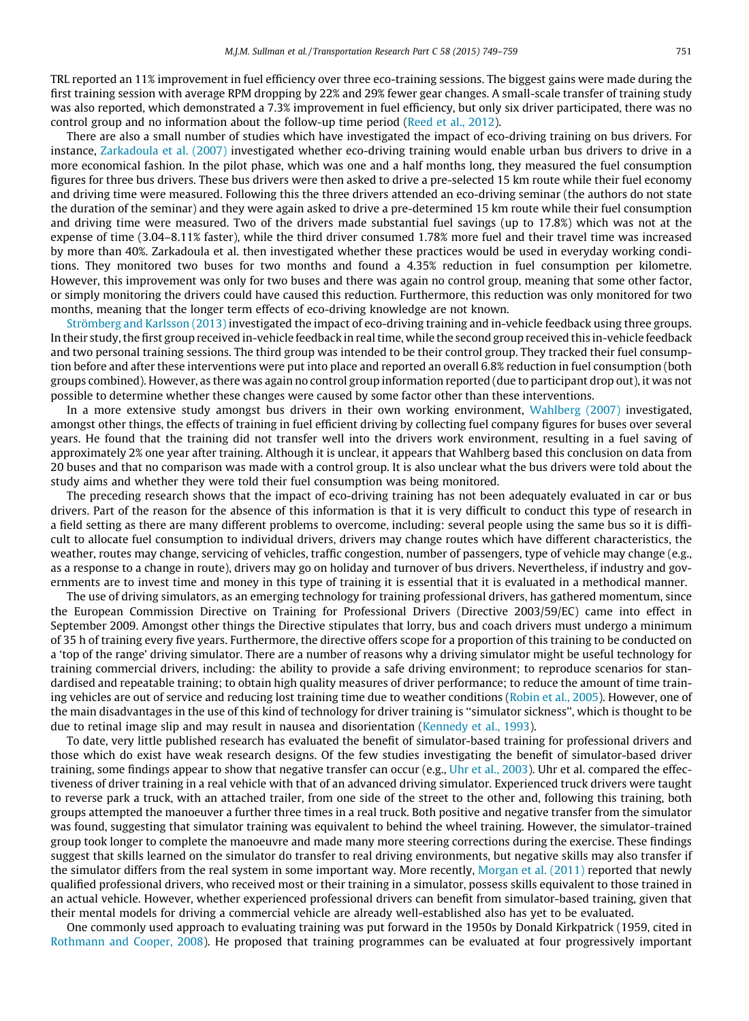TRL reported an 11% improvement in fuel efficiency over three eco-training sessions. The biggest gains were made during the first training session with average RPM dropping by 22% and 29% fewer gear changes. A small-scale transfer of training study was also reported, which demonstrated a 7.3% improvement in fuel efficiency, but only six driver participated, there was no control group and no information about the follow-up time period [\(Reed et al., 2012\)](#page-10-0).

There are also a small number of studies which have investigated the impact of eco-driving training on bus drivers. For instance, [Zarkadoula et al. \(2007\)](#page-10-0) investigated whether eco-driving training would enable urban bus drivers to drive in a more economical fashion. In the pilot phase, which was one and a half months long, they measured the fuel consumption figures for three bus drivers. These bus drivers were then asked to drive a pre-selected 15 km route while their fuel economy and driving time were measured. Following this the three drivers attended an eco-driving seminar (the authors do not state the duration of the seminar) and they were again asked to drive a pre-determined 15 km route while their fuel consumption and driving time were measured. Two of the drivers made substantial fuel savings (up to 17.8%) which was not at the expense of time (3.04–8.11% faster), while the third driver consumed 1.78% more fuel and their travel time was increased by more than 40%. Zarkadoula et al. then investigated whether these practices would be used in everyday working conditions. They monitored two buses for two months and found a 4.35% reduction in fuel consumption per kilometre. However, this improvement was only for two buses and there was again no control group, meaning that some other factor, or simply monitoring the drivers could have caused this reduction. Furthermore, this reduction was only monitored for two months, meaning that the longer term effects of eco-driving knowledge are not known.

[Strömberg and Karlsson \(2013\)](#page-10-0) investigated the impact of eco-driving training and in-vehicle feedback using three groups. In their study, the first group received in-vehicle feedback in real time, while the second group received this in-vehicle feedback and two personal training sessions. The third group was intended to be their control group. They tracked their fuel consumption before and after these interventions were put into place and reported an overall 6.8% reduction in fuel consumption (both groups combined). However, as there was again no control group information reported (due to participant drop out), it was not possible to determine whether these changes were caused by some factor other than these interventions.

In a more extensive study amongst bus drivers in their own working environment, [Wahlberg \(2007\)](#page-10-0) investigated, amongst other things, the effects of training in fuel efficient driving by collecting fuel company figures for buses over several years. He found that the training did not transfer well into the drivers work environment, resulting in a fuel saving of approximately 2% one year after training. Although it is unclear, it appears that Wahlberg based this conclusion on data from 20 buses and that no comparison was made with a control group. It is also unclear what the bus drivers were told about the study aims and whether they were told their fuel consumption was being monitored.

The preceding research shows that the impact of eco-driving training has not been adequately evaluated in car or bus drivers. Part of the reason for the absence of this information is that it is very difficult to conduct this type of research in a field setting as there are many different problems to overcome, including: several people using the same bus so it is difficult to allocate fuel consumption to individual drivers, drivers may change routes which have different characteristics, the weather, routes may change, servicing of vehicles, traffic congestion, number of passengers, type of vehicle may change (e.g., as a response to a change in route), drivers may go on holiday and turnover of bus drivers. Nevertheless, if industry and governments are to invest time and money in this type of training it is essential that it is evaluated in a methodical manner.

The use of driving simulators, as an emerging technology for training professional drivers, has gathered momentum, since the European Commission Directive on Training for Professional Drivers (Directive 2003/59/EC) came into effect in September 2009. Amongst other things the Directive stipulates that lorry, bus and coach drivers must undergo a minimum of 35 h of training every five years. Furthermore, the directive offers scope for a proportion of this training to be conducted on a 'top of the range' driving simulator. There are a number of reasons why a driving simulator might be useful technology for training commercial drivers, including: the ability to provide a safe driving environment; to reproduce scenarios for standardised and repeatable training; to obtain high quality measures of driver performance; to reduce the amount of time training vehicles are out of service and reducing lost training time due to weather conditions ([Robin et al., 2005](#page-10-0)). However, one of the main disadvantages in the use of this kind of technology for driver training is ''simulator sickness'', which is thought to be due to retinal image slip and may result in nausea and disorientation [\(Kennedy et al., 1993](#page-10-0)).

To date, very little published research has evaluated the benefit of simulator-based training for professional drivers and those which do exist have weak research designs. Of the few studies investigating the benefit of simulator-based driver training, some findings appear to show that negative transfer can occur (e.g., [Uhr et al., 2003](#page-10-0)). Uhr et al. compared the effectiveness of driver training in a real vehicle with that of an advanced driving simulator. Experienced truck drivers were taught to reverse park a truck, with an attached trailer, from one side of the street to the other and, following this training, both groups attempted the manoeuver a further three times in a real truck. Both positive and negative transfer from the simulator was found, suggesting that simulator training was equivalent to behind the wheel training. However, the simulator-trained group took longer to complete the manoeuvre and made many more steering corrections during the exercise. These findings suggest that skills learned on the simulator do transfer to real driving environments, but negative skills may also transfer if the simulator differs from the real system in some important way. More recently, [Morgan et al. \(2011\)](#page-10-0) reported that newly qualified professional drivers, who received most or their training in a simulator, possess skills equivalent to those trained in an actual vehicle. However, whether experienced professional drivers can benefit from simulator-based training, given that their mental models for driving a commercial vehicle are already well-established also has yet to be evaluated.

One commonly used approach to evaluating training was put forward in the 1950s by Donald Kirkpatrick (1959, cited in [Rothmann and Cooper, 2008\)](#page-10-0). He proposed that training programmes can be evaluated at four progressively important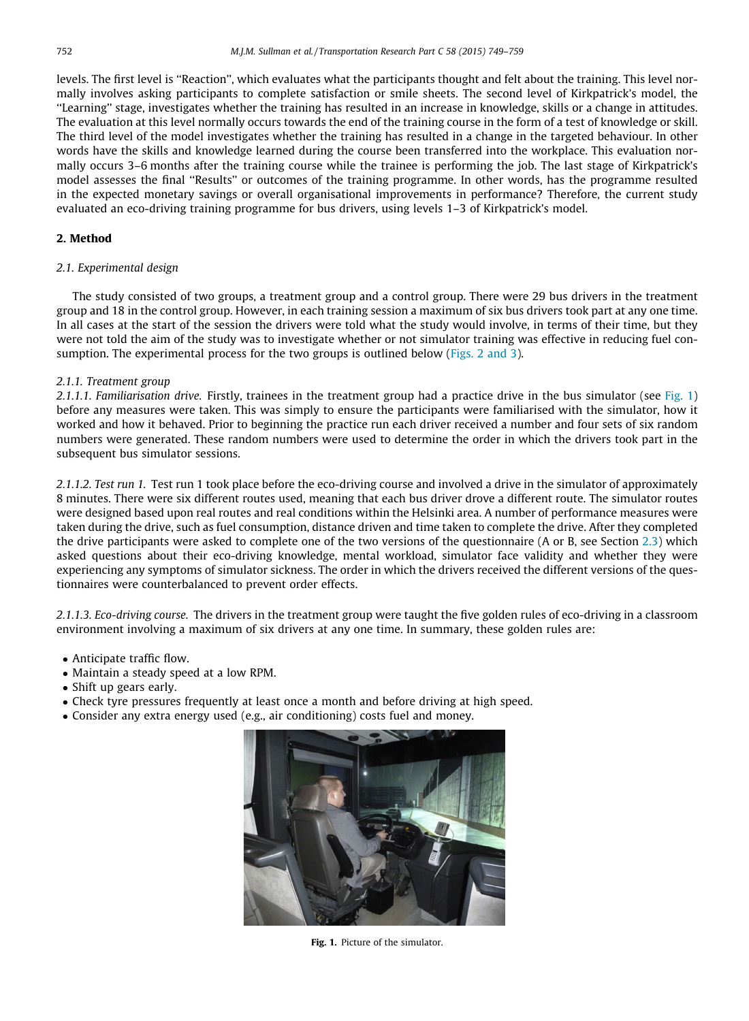levels. The first level is ''Reaction'', which evaluates what the participants thought and felt about the training. This level normally involves asking participants to complete satisfaction or smile sheets. The second level of Kirkpatrick's model, the ''Learning'' stage, investigates whether the training has resulted in an increase in knowledge, skills or a change in attitudes. The evaluation at this level normally occurs towards the end of the training course in the form of a test of knowledge or skill. The third level of the model investigates whether the training has resulted in a change in the targeted behaviour. In other words have the skills and knowledge learned during the course been transferred into the workplace. This evaluation normally occurs 3–6 months after the training course while the trainee is performing the job. The last stage of Kirkpatrick's model assesses the final ''Results'' or outcomes of the training programme. In other words, has the programme resulted in the expected monetary savings or overall organisational improvements in performance? Therefore, the current study evaluated an eco-driving training programme for bus drivers, using levels 1–3 of Kirkpatrick's model.

#### 2. Method

### 2.1. Experimental design

The study consisted of two groups, a treatment group and a control group. There were 29 bus drivers in the treatment group and 18 in the control group. However, in each training session a maximum of six bus drivers took part at any one time. In all cases at the start of the session the drivers were told what the study would involve, in terms of their time, but they were not told the aim of the study was to investigate whether or not simulator training was effective in reducing fuel consumption. The experimental process for the two groups is outlined below ([Figs. 2 and 3\)](#page-4-0).

## 2.1.1. Treatment group

2.1.1.1. Familiarisation drive. Firstly, trainees in the treatment group had a practice drive in the bus simulator (see Fig. 1) before any measures were taken. This was simply to ensure the participants were familiarised with the simulator, how it worked and how it behaved. Prior to beginning the practice run each driver received a number and four sets of six random numbers were generated. These random numbers were used to determine the order in which the drivers took part in the subsequent bus simulator sessions.

2.1.1.2. Test run 1. Test run 1 took place before the eco-driving course and involved a drive in the simulator of approximately 8 minutes. There were six different routes used, meaning that each bus driver drove a different route. The simulator routes were designed based upon real routes and real conditions within the Helsinki area. A number of performance measures were taken during the drive, such as fuel consumption, distance driven and time taken to complete the drive. After they completed the drive participants were asked to complete one of the two versions of the questionnaire (A or B, see Section [2.3\)](#page-4-0) which asked questions about their eco-driving knowledge, mental workload, simulator face validity and whether they were experiencing any symptoms of simulator sickness. The order in which the drivers received the different versions of the questionnaires were counterbalanced to prevent order effects.

2.1.1.3. Eco-driving course. The drivers in the treatment group were taught the five golden rules of eco-driving in a classroom environment involving a maximum of six drivers at any one time. In summary, these golden rules are:

- Anticipate traffic flow.
- Maintain a steady speed at a low RPM.
- Shift up gears early.
- Check tyre pressures frequently at least once a month and before driving at high speed.
- Consider any extra energy used (e.g., air conditioning) costs fuel and money.



Fig. 1. Picture of the simulator.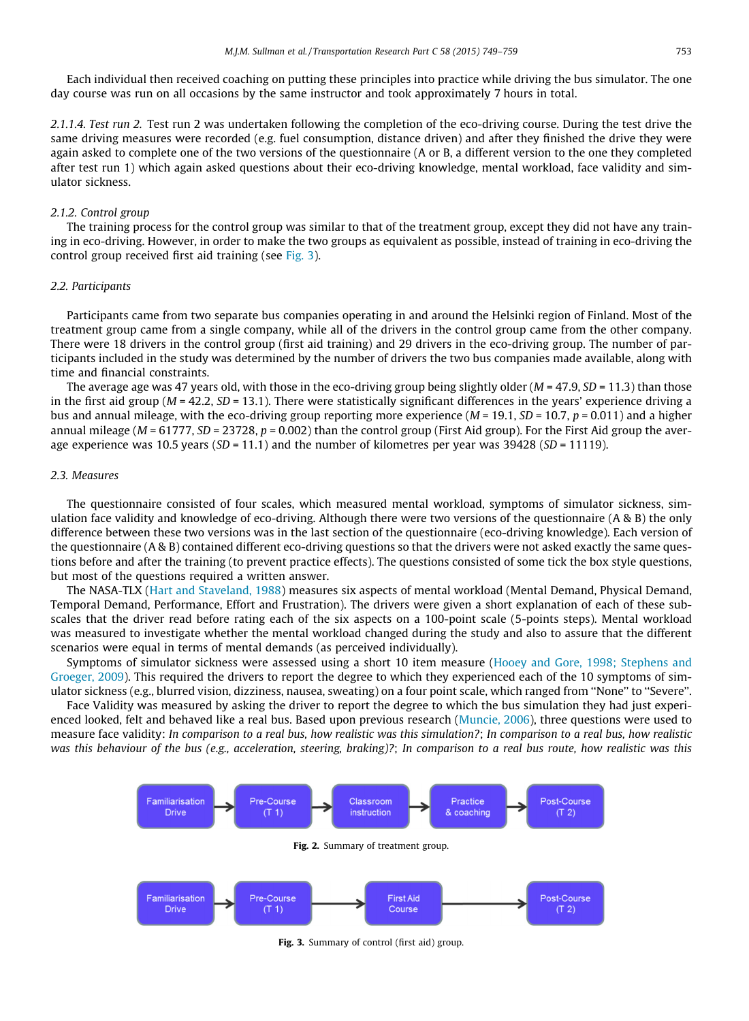<span id="page-4-0"></span>Each individual then received coaching on putting these principles into practice while driving the bus simulator. The one day course was run on all occasions by the same instructor and took approximately 7 hours in total.

2.1.1.4. Test run 2. Test run 2 was undertaken following the completion of the eco-driving course. During the test drive the same driving measures were recorded (e.g. fuel consumption, distance driven) and after they finished the drive they were again asked to complete one of the two versions of the questionnaire (A or B, a different version to the one they completed after test run 1) which again asked questions about their eco-driving knowledge, mental workload, face validity and simulator sickness.

# 2.1.2. Control group

The training process for the control group was similar to that of the treatment group, except they did not have any training in eco-driving. However, in order to make the two groups as equivalent as possible, instead of training in eco-driving the control group received first aid training (see Fig. 3).

# 2.2. Participants

Participants came from two separate bus companies operating in and around the Helsinki region of Finland. Most of the treatment group came from a single company, while all of the drivers in the control group came from the other company. There were 18 drivers in the control group (first aid training) and 29 drivers in the eco-driving group. The number of participants included in the study was determined by the number of drivers the two bus companies made available, along with time and financial constraints.

The average age was 47 years old, with those in the eco-driving group being slightly older ( $M = 47.9$ ,  $SD = 11.3$ ) than those in the first aid group ( $M = 42.2$ ,  $SD = 13.1$ ). There were statistically significant differences in the years' experience driving a bus and annual mileage, with the eco-driving group reporting more experience  $(M = 19.1, SD = 10.7, p = 0.011)$  and a higher annual mileage ( $M = 61777$ ,  $SD = 23728$ ,  $p = 0.002$ ) than the control group (First Aid group). For the First Aid group the average experience was 10.5 years ( $SD = 11.1$ ) and the number of kilometres per year was 39428 ( $SD = 11119$ ).

#### 2.3. Measures

The questionnaire consisted of four scales, which measured mental workload, symptoms of simulator sickness, simulation face validity and knowledge of eco-driving. Although there were two versions of the questionnaire (A & B) the only difference between these two versions was in the last section of the questionnaire (eco-driving knowledge). Each version of the questionnaire (A & B) contained different eco-driving questions so that the drivers were not asked exactly the same questions before and after the training (to prevent practice effects). The questions consisted of some tick the box style questions, but most of the questions required a written answer.

The NASA-TLX ([Hart and Staveland, 1988](#page-10-0)) measures six aspects of mental workload (Mental Demand, Physical Demand, Temporal Demand, Performance, Effort and Frustration). The drivers were given a short explanation of each of these subscales that the driver read before rating each of the six aspects on a 100-point scale (5-points steps). Mental workload was measured to investigate whether the mental workload changed during the study and also to assure that the different scenarios were equal in terms of mental demands (as perceived individually).

Symptoms of simulator sickness were assessed using a short 10 item measure ([Hooey and Gore, 1998; Stephens and](#page-10-0) [Groeger, 2009](#page-10-0)). This required the drivers to report the degree to which they experienced each of the 10 symptoms of simulator sickness (e.g., blurred vision, dizziness, nausea, sweating) on a four point scale, which ranged from ''None'' to ''Severe''.

Face Validity was measured by asking the driver to report the degree to which the bus simulation they had just experienced looked, felt and behaved like a real bus. Based upon previous research ([Muncie, 2006](#page-10-0)), three questions were used to measure face validity: In comparison to a real bus, how realistic was this simulation?; In comparison to a real bus, how realistic was this behaviour of the bus (e.g., acceleration, steering, braking)?; In comparison to a real bus route, how realistic was this



Fig. 3. Summary of control (first aid) group.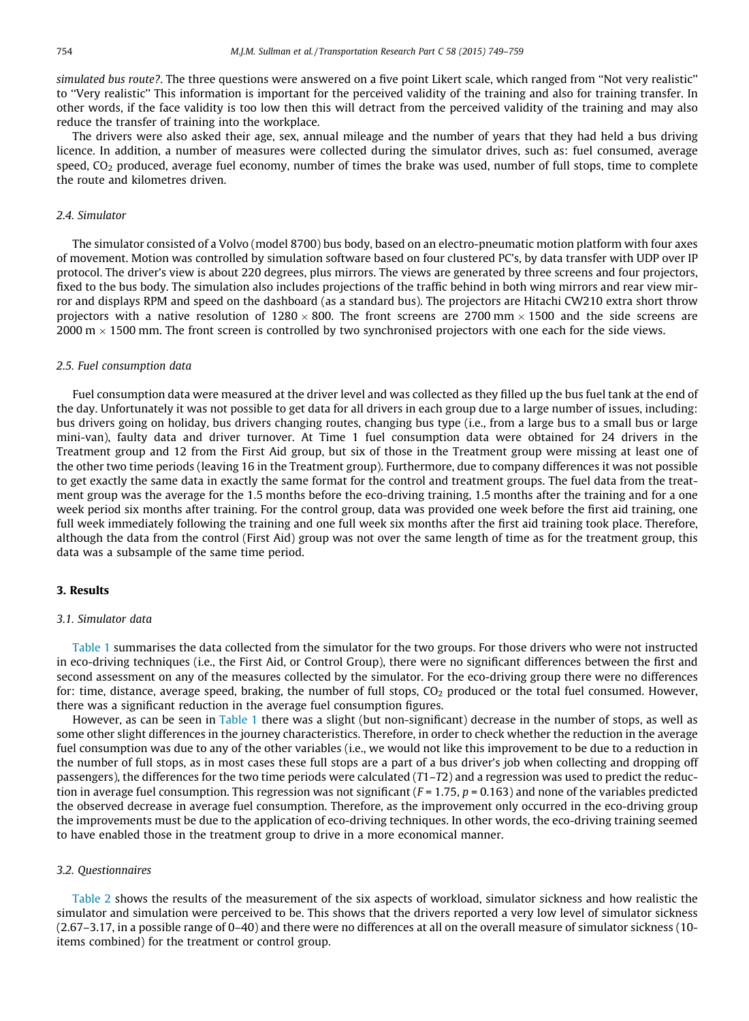simulated bus route?. The three questions were answered on a five point Likert scale, which ranged from ''Not very realistic'' to ''Very realistic'' This information is important for the perceived validity of the training and also for training transfer. In other words, if the face validity is too low then this will detract from the perceived validity of the training and may also reduce the transfer of training into the workplace.

The drivers were also asked their age, sex, annual mileage and the number of years that they had held a bus driving licence. In addition, a number of measures were collected during the simulator drives, such as: fuel consumed, average speed,  $CO<sub>2</sub>$  produced, average fuel economy, number of times the brake was used, number of full stops, time to complete the route and kilometres driven.

# 2.4. Simulator

The simulator consisted of a Volvo (model 8700) bus body, based on an electro-pneumatic motion platform with four axes of movement. Motion was controlled by simulation software based on four clustered PC's, by data transfer with UDP over IP protocol. The driver's view is about 220 degrees, plus mirrors. The views are generated by three screens and four projectors, fixed to the bus body. The simulation also includes projections of the traffic behind in both wing mirrors and rear view mirror and displays RPM and speed on the dashboard (as a standard bus). The projectors are Hitachi CW210 extra short throw projectors with a native resolution of  $1280 \times 800$ . The front screens are 2700 mm  $\times 1500$  and the side screens are 2000 m  $\times$  1500 mm. The front screen is controlled by two synchronised projectors with one each for the side views.

#### 2.5. Fuel consumption data

Fuel consumption data were measured at the driver level and was collected as they filled up the bus fuel tank at the end of the day. Unfortunately it was not possible to get data for all drivers in each group due to a large number of issues, including: bus drivers going on holiday, bus drivers changing routes, changing bus type (i.e., from a large bus to a small bus or large mini-van), faulty data and driver turnover. At Time 1 fuel consumption data were obtained for 24 drivers in the Treatment group and 12 from the First Aid group, but six of those in the Treatment group were missing at least one of the other two time periods (leaving 16 in the Treatment group). Furthermore, due to company differences it was not possible to get exactly the same data in exactly the same format for the control and treatment groups. The fuel data from the treatment group was the average for the 1.5 months before the eco-driving training, 1.5 months after the training and for a one week period six months after training. For the control group, data was provided one week before the first aid training, one full week immediately following the training and one full week six months after the first aid training took place. Therefore, although the data from the control (First Aid) group was not over the same length of time as for the treatment group, this data was a subsample of the same time period.

# 3. Results

#### 3.1. Simulator data

[Table 1](#page-6-0) summarises the data collected from the simulator for the two groups. For those drivers who were not instructed in eco-driving techniques (i.e., the First Aid, or Control Group), there were no significant differences between the first and second assessment on any of the measures collected by the simulator. For the eco-driving group there were no differences for: time, distance, average speed, braking, the number of full stops,  $CO<sub>2</sub>$  produced or the total fuel consumed. However, there was a significant reduction in the average fuel consumption figures.

However, as can be seen in [Table 1](#page-6-0) there was a slight (but non-significant) decrease in the number of stops, as well as some other slight differences in the journey characteristics. Therefore, in order to check whether the reduction in the average fuel consumption was due to any of the other variables (i.e., we would not like this improvement to be due to a reduction in the number of full stops, as in most cases these full stops are a part of a bus driver's job when collecting and dropping off passengers), the differences for the two time periods were calculated (T1–T2) and a regression was used to predict the reduction in average fuel consumption. This regression was not significant ( $F = 1.75$ ,  $p = 0.163$ ) and none of the variables predicted the observed decrease in average fuel consumption. Therefore, as the improvement only occurred in the eco-driving group the improvements must be due to the application of eco-driving techniques. In other words, the eco-driving training seemed to have enabled those in the treatment group to drive in a more economical manner.

#### 3.2. Questionnaires

[Table 2](#page-6-0) shows the results of the measurement of the six aspects of workload, simulator sickness and how realistic the simulator and simulation were perceived to be. This shows that the drivers reported a very low level of simulator sickness (2.67–3.17, in a possible range of 0–40) and there were no differences at all on the overall measure of simulator sickness (10 items combined) for the treatment or control group.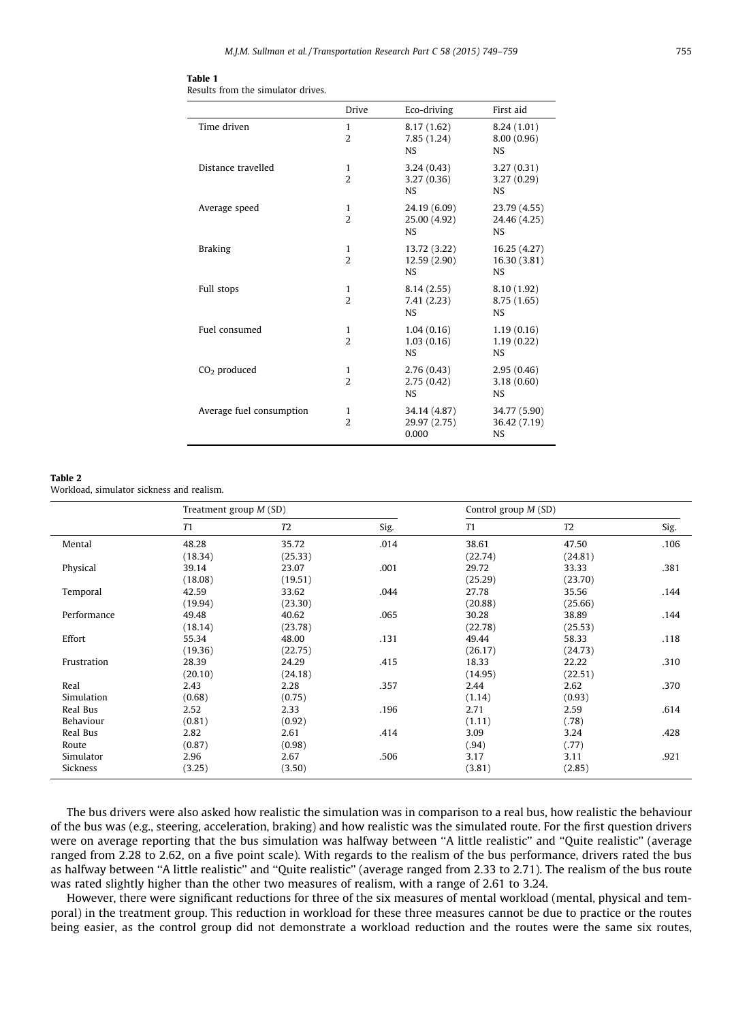<span id="page-6-0"></span>

| Table 1 |  |  |  |  |
|---------|--|--|--|--|
|         |  |  |  |  |

Results from the simulator drives.

|                          | <b>Drive</b>                  | Eco-driving                               | First aid                                 |
|--------------------------|-------------------------------|-------------------------------------------|-------------------------------------------|
| Time driven              | 1<br>$\overline{2}$           | 8.17 (1.62)<br>7.85(1.24)<br><b>NS</b>    | 8.24 (1.01)<br>8.00(0.96)<br>NS.          |
| Distance travelled       | 1<br>$\overline{\mathcal{L}}$ | 3.24(0.43)<br>3.27(0.36)<br><b>NS</b>     | 3.27(0.31)<br>3.27(0.29)<br>NS.           |
| Average speed            | 1<br>$\overline{\mathcal{L}}$ | 24.19 (6.09)<br>25.00 (4.92)<br><b>NS</b> | 23.79 (4.55)<br>24.46 (4.25)<br>NS.       |
| <b>Braking</b>           | 1<br>$\overline{2}$           | 13.72 (3.22)<br>12.59 (2.90)<br><b>NS</b> | 16.25 (4.27)<br>16.30 (3.81)<br>NS.       |
| Full stops               | 1<br>$\overline{2}$           | 8.14(2.55)<br>7.41 (2.23)<br><b>NS</b>    | 8.10 (1.92)<br>8.75 (1.65)<br>NS.         |
| Fuel consumed            | 1<br>$\overline{2}$           | 1.04(0.16)<br>1.03(0.16)<br><b>NS</b>     | 1.19(0.16)<br>1.19(0.22)<br><b>NS</b>     |
| $CO2$ produced           | 1<br>$\overline{2}$           | 2.76(0.43)<br>2.75(0.42)<br><b>NS</b>     | 2.95(0.46)<br>3.18(0.60)<br><b>NS</b>     |
| Average fuel consumption | 1<br>$\overline{2}$           | 34.14 (4.87)<br>29.97 (2.75)<br>0.000     | 34.77 (5.90)<br>36.42 (7.19)<br><b>NS</b> |

#### Table 2

Workload, simulator sickness and realism.

|             | Treatment group $M(SD)$ |                |      | Control group $M(SD)$ |                |      |
|-------------|-------------------------|----------------|------|-----------------------|----------------|------|
|             | T1                      | T <sub>2</sub> | Sig. | T <sub>1</sub>        | T <sub>2</sub> | Sig. |
| Mental      | 48.28                   | 35.72          | .014 | 38.61                 | 47.50          | .106 |
|             | (18.34)                 | (25.33)        |      | (22.74)               | (24.81)        |      |
| Physical    | 39.14                   | 23.07          | .001 | 29.72                 | 33.33          | .381 |
|             | (18.08)                 | (19.51)        |      | (25.29)               | (23.70)        |      |
| Temporal    | 42.59                   | 33.62          | .044 | 27.78                 | 35.56          | .144 |
|             | (19.94)                 | (23.30)        |      | (20.88)               | (25.66)        |      |
| Performance | 49.48                   | 40.62          | .065 | 30.28                 | 38.89          | .144 |
|             | (18.14)                 | (23.78)        |      | (22.78)               | (25.53)        |      |
| Effort      | 55.34                   | 48.00          | .131 | 49.44                 | 58.33          | .118 |
|             | (19.36)                 | (22.75)        |      | (26.17)               | (24.73)        |      |
| Frustration | 28.39                   | 24.29          | .415 | 18.33                 | 22.22          | .310 |
|             | (20.10)                 | (24.18)        |      | (14.95)               | (22.51)        |      |
| Real        | 2.43                    | 2.28           | .357 | 2.44                  | 2.62           | .370 |
| Simulation  | (0.68)                  | (0.75)         |      | (1.14)                | (0.93)         |      |
| Real Bus    | 2.52                    | 2.33           | .196 | 2.71                  | 2.59           | .614 |
| Behaviour   | (0.81)                  | (0.92)         |      | (1.11)                | (.78)          |      |
| Real Bus    | 2.82                    | 2.61           | .414 | 3.09                  | 3.24           | .428 |
| Route       | (0.87)                  | (0.98)         |      | (.94)                 | (.77)          |      |
| Simulator   | 2.96                    | 2.67           | .506 | 3.17                  | 3.11           | .921 |
| Sickness    | (3.25)                  | (3.50)         |      | (3.81)                | (2.85)         |      |

The bus drivers were also asked how realistic the simulation was in comparison to a real bus, how realistic the behaviour of the bus was (e.g., steering, acceleration, braking) and how realistic was the simulated route. For the first question drivers were on average reporting that the bus simulation was halfway between "A little realistic" and "Quite realistic" (average ranged from 2.28 to 2.62, on a five point scale). With regards to the realism of the bus performance, drivers rated the bus as halfway between "A little realistic" and "Quite realistic" (average ranged from 2.33 to 2.71). The realism of the bus route was rated slightly higher than the other two measures of realism, with a range of 2.61 to 3.24.

However, there were significant reductions for three of the six measures of mental workload (mental, physical and temporal) in the treatment group. This reduction in workload for these three measures cannot be due to practice or the routes being easier, as the control group did not demonstrate a workload reduction and the routes were the same six routes,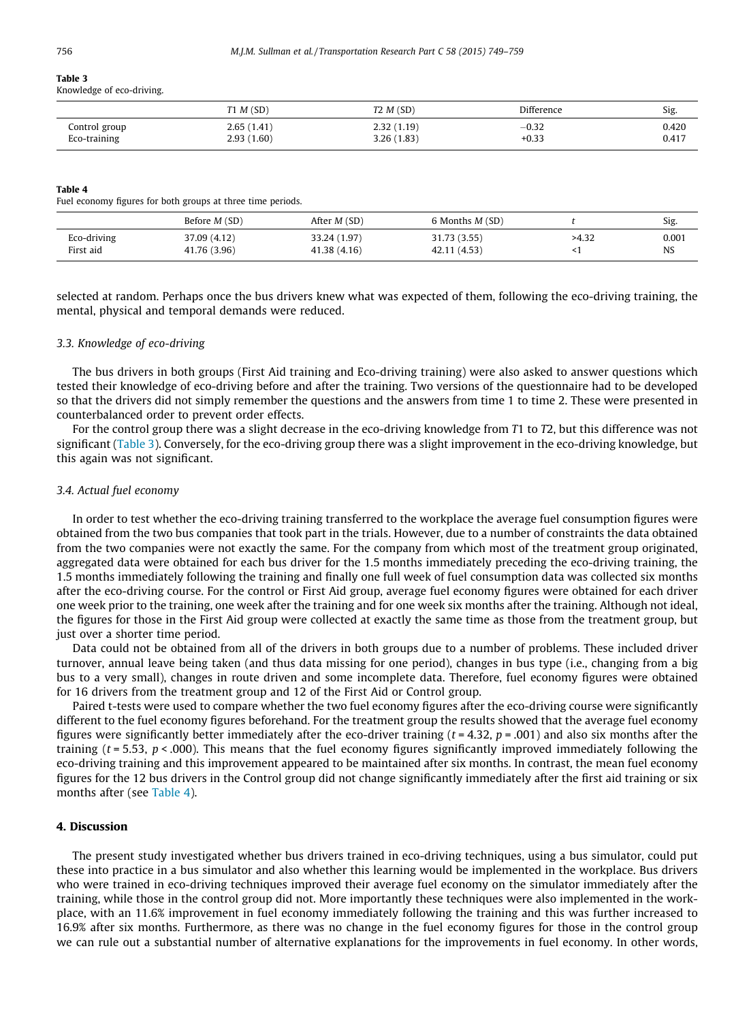# Table 3

|  |  | Knowledge of eco-driving. |
|--|--|---------------------------|
|--|--|---------------------------|

|               | T1 M(SD)   | T2 M(SD)    | Difference | Sig.  |
|---------------|------------|-------------|------------|-------|
| Control group | 2.65(1.41) | 2.32(1.19)  | $-0.32$    | 0.420 |
| Eco-training  | 2.93(1.60) | 3.26 (1.83) | $+0.33$    | 0.417 |

#### Table 4

Fuel economy figures for both groups at three time periods.

|             | Before <i>M</i> (SD) | After $M(SD)$ | 6 Months <i>M</i> (SD) |       | Sig.  |
|-------------|----------------------|---------------|------------------------|-------|-------|
| Eco-driving | 37.09 (4.12)         | 33.24 (1.97)  | 31.73 (3.55)           | >4.32 | 0.001 |
| First aid   | 41.76 (3.96)         | 41.38 (4.16)  | 42.11 (4.53)           |       | NS    |

selected at random. Perhaps once the bus drivers knew what was expected of them, following the eco-driving training, the mental, physical and temporal demands were reduced.

# 3.3. Knowledge of eco-driving

The bus drivers in both groups (First Aid training and Eco-driving training) were also asked to answer questions which tested their knowledge of eco-driving before and after the training. Two versions of the questionnaire had to be developed so that the drivers did not simply remember the questions and the answers from time 1 to time 2. These were presented in counterbalanced order to prevent order effects.

For the control group there was a slight decrease in the eco-driving knowledge from T1 to T2, but this difference was not significant (Table 3). Conversely, for the eco-driving group there was a slight improvement in the eco-driving knowledge, but this again was not significant.

#### 3.4. Actual fuel economy

In order to test whether the eco-driving training transferred to the workplace the average fuel consumption figures were obtained from the two bus companies that took part in the trials. However, due to a number of constraints the data obtained from the two companies were not exactly the same. For the company from which most of the treatment group originated, aggregated data were obtained for each bus driver for the 1.5 months immediately preceding the eco-driving training, the 1.5 months immediately following the training and finally one full week of fuel consumption data was collected six months after the eco-driving course. For the control or First Aid group, average fuel economy figures were obtained for each driver one week prior to the training, one week after the training and for one week six months after the training. Although not ideal, the figures for those in the First Aid group were collected at exactly the same time as those from the treatment group, but just over a shorter time period.

Data could not be obtained from all of the drivers in both groups due to a number of problems. These included driver turnover, annual leave being taken (and thus data missing for one period), changes in bus type (i.e., changing from a big bus to a very small), changes in route driven and some incomplete data. Therefore, fuel economy figures were obtained for 16 drivers from the treatment group and 12 of the First Aid or Control group.

Paired t-tests were used to compare whether the two fuel economy figures after the eco-driving course were significantly different to the fuel economy figures beforehand. For the treatment group the results showed that the average fuel economy figures were significantly better immediately after the eco-driver training ( $t = 4.32$ ,  $p = .001$ ) and also six months after the training ( $t = 5.53$ ,  $p < .000$ ). This means that the fuel economy figures significantly improved immediately following the eco-driving training and this improvement appeared to be maintained after six months. In contrast, the mean fuel economy figures for the 12 bus drivers in the Control group did not change significantly immediately after the first aid training or six months after (see Table 4).

# 4. Discussion

The present study investigated whether bus drivers trained in eco-driving techniques, using a bus simulator, could put these into practice in a bus simulator and also whether this learning would be implemented in the workplace. Bus drivers who were trained in eco-driving techniques improved their average fuel economy on the simulator immediately after the training, while those in the control group did not. More importantly these techniques were also implemented in the workplace, with an 11.6% improvement in fuel economy immediately following the training and this was further increased to 16.9% after six months. Furthermore, as there was no change in the fuel economy figures for those in the control group we can rule out a substantial number of alternative explanations for the improvements in fuel economy. In other words,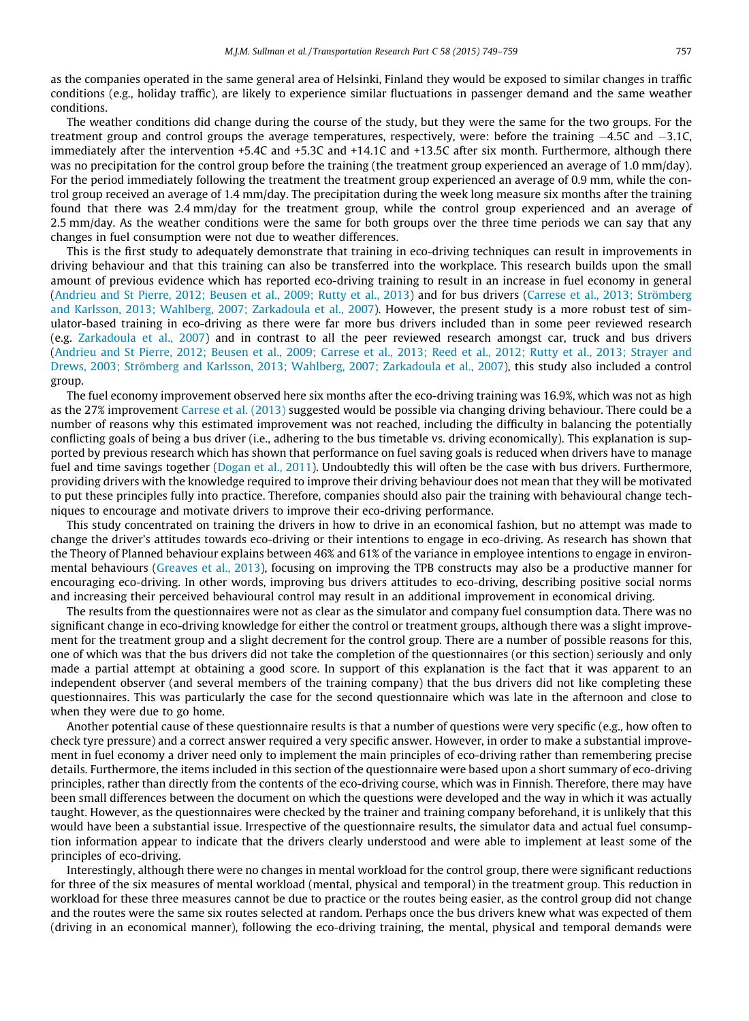as the companies operated in the same general area of Helsinki, Finland they would be exposed to similar changes in traffic conditions (e.g., holiday traffic), are likely to experience similar fluctuations in passenger demand and the same weather conditions.

The weather conditions did change during the course of the study, but they were the same for the two groups. For the treatment group and control groups the average temperatures, respectively, were: before the training  $-4.5C$  and  $-3.1C$ , immediately after the intervention +5.4C and +5.3C and +14.1C and +13.5C after six month. Furthermore, although there was no precipitation for the control group before the training (the treatment group experienced an average of 1.0 mm/day). For the period immediately following the treatment the treatment group experienced an average of 0.9 mm, while the control group received an average of 1.4 mm/day. The precipitation during the week long measure six months after the training found that there was 2.4 mm/day for the treatment group, while the control group experienced and an average of 2.5 mm/day. As the weather conditions were the same for both groups over the three time periods we can say that any changes in fuel consumption were not due to weather differences.

This is the first study to adequately demonstrate that training in eco-driving techniques can result in improvements in driving behaviour and that this training can also be transferred into the workplace. This research builds upon the small amount of previous evidence which has reported eco-driving training to result in an increase in fuel economy in general ([Andrieu and St Pierre, 2012; Beusen et al., 2009; Rutty et al., 2013\)](#page-9-0) and for bus drivers ([Carrese et al., 2013; Strömberg](#page-9-0) [and Karlsson, 2013; Wahlberg, 2007; Zarkadoula et al., 2007](#page-9-0)). However, the present study is a more robust test of simulator-based training in eco-driving as there were far more bus drivers included than in some peer reviewed research (e.g. [Zarkadoula et al., 2007](#page-10-0)) and in contrast to all the peer reviewed research amongst car, truck and bus drivers ([Andrieu and St Pierre, 2012; Beusen et al., 2009; Carrese et al., 2013; Reed et al., 2012; Rutty et al., 2013; Strayer and](#page-9-0) [Drews, 2003; Strömberg and Karlsson, 2013; Wahlberg, 2007; Zarkadoula et al., 2007](#page-9-0)), this study also included a control group.

The fuel economy improvement observed here six months after the eco-driving training was 16.9%, which was not as high as the 27% improvement [Carrese et al. \(2013\)](#page-9-0) suggested would be possible via changing driving behaviour. There could be a number of reasons why this estimated improvement was not reached, including the difficulty in balancing the potentially conflicting goals of being a bus driver (i.e., adhering to the bus timetable vs. driving economically). This explanation is supported by previous research which has shown that performance on fuel saving goals is reduced when drivers have to manage fuel and time savings together [\(Dogan et al., 2011\)](#page-10-0). Undoubtedly this will often be the case with bus drivers. Furthermore, providing drivers with the knowledge required to improve their driving behaviour does not mean that they will be motivated to put these principles fully into practice. Therefore, companies should also pair the training with behavioural change techniques to encourage and motivate drivers to improve their eco-driving performance.

This study concentrated on training the drivers in how to drive in an economical fashion, but no attempt was made to change the driver's attitudes towards eco-driving or their intentions to engage in eco-driving. As research has shown that the Theory of Planned behaviour explains between 46% and 61% of the variance in employee intentions to engage in environmental behaviours ([Greaves et al., 2013](#page-10-0)), focusing on improving the TPB constructs may also be a productive manner for encouraging eco-driving. In other words, improving bus drivers attitudes to eco-driving, describing positive social norms and increasing their perceived behavioural control may result in an additional improvement in economical driving.

The results from the questionnaires were not as clear as the simulator and company fuel consumption data. There was no significant change in eco-driving knowledge for either the control or treatment groups, although there was a slight improvement for the treatment group and a slight decrement for the control group. There are a number of possible reasons for this, one of which was that the bus drivers did not take the completion of the questionnaires (or this section) seriously and only made a partial attempt at obtaining a good score. In support of this explanation is the fact that it was apparent to an independent observer (and several members of the training company) that the bus drivers did not like completing these questionnaires. This was particularly the case for the second questionnaire which was late in the afternoon and close to when they were due to go home.

Another potential cause of these questionnaire results is that a number of questions were very specific (e.g., how often to check tyre pressure) and a correct answer required a very specific answer. However, in order to make a substantial improvement in fuel economy a driver need only to implement the main principles of eco-driving rather than remembering precise details. Furthermore, the items included in this section of the questionnaire were based upon a short summary of eco-driving principles, rather than directly from the contents of the eco-driving course, which was in Finnish. Therefore, there may have been small differences between the document on which the questions were developed and the way in which it was actually taught. However, as the questionnaires were checked by the trainer and training company beforehand, it is unlikely that this would have been a substantial issue. Irrespective of the questionnaire results, the simulator data and actual fuel consumption information appear to indicate that the drivers clearly understood and were able to implement at least some of the principles of eco-driving.

Interestingly, although there were no changes in mental workload for the control group, there were significant reductions for three of the six measures of mental workload (mental, physical and temporal) in the treatment group. This reduction in workload for these three measures cannot be due to practice or the routes being easier, as the control group did not change and the routes were the same six routes selected at random. Perhaps once the bus drivers knew what was expected of them (driving in an economical manner), following the eco-driving training, the mental, physical and temporal demands were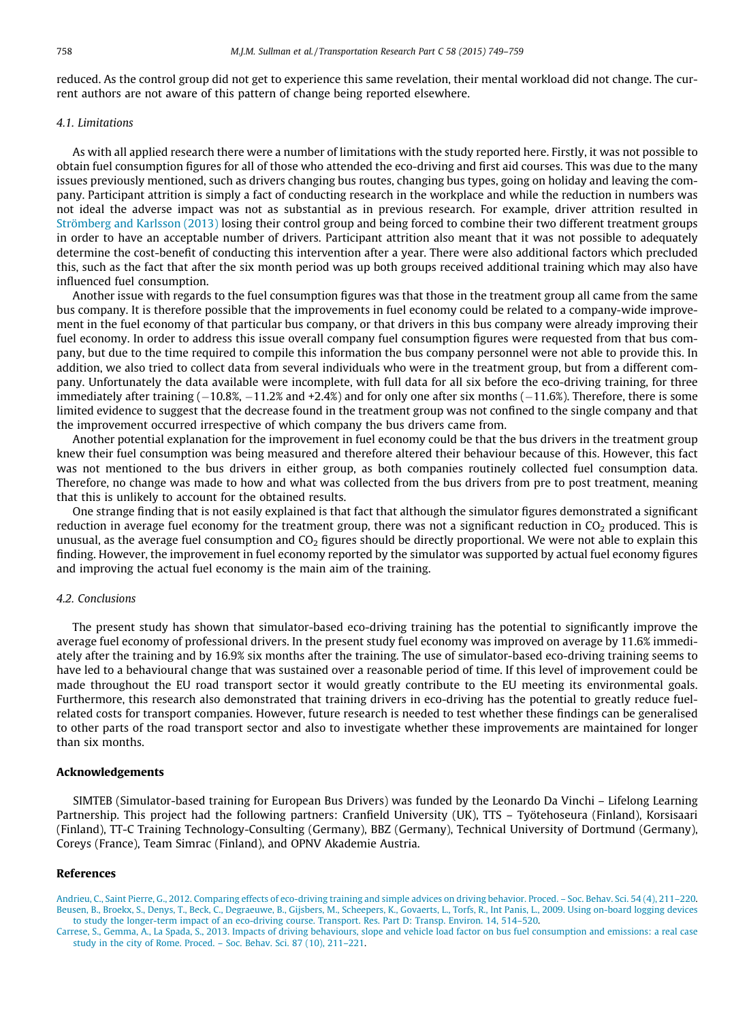<span id="page-9-0"></span>reduced. As the control group did not get to experience this same revelation, their mental workload did not change. The current authors are not aware of this pattern of change being reported elsewhere.

# 4.1. Limitations

As with all applied research there were a number of limitations with the study reported here. Firstly, it was not possible to obtain fuel consumption figures for all of those who attended the eco-driving and first aid courses. This was due to the many issues previously mentioned, such as drivers changing bus routes, changing bus types, going on holiday and leaving the company. Participant attrition is simply a fact of conducting research in the workplace and while the reduction in numbers was not ideal the adverse impact was not as substantial as in previous research. For example, driver attrition resulted in [Strömberg and Karlsson \(2013\)](#page-10-0) losing their control group and being forced to combine their two different treatment groups in order to have an acceptable number of drivers. Participant attrition also meant that it was not possible to adequately determine the cost-benefit of conducting this intervention after a year. There were also additional factors which precluded this, such as the fact that after the six month period was up both groups received additional training which may also have influenced fuel consumption.

Another issue with regards to the fuel consumption figures was that those in the treatment group all came from the same bus company. It is therefore possible that the improvements in fuel economy could be related to a company-wide improvement in the fuel economy of that particular bus company, or that drivers in this bus company were already improving their fuel economy. In order to address this issue overall company fuel consumption figures were requested from that bus company, but due to the time required to compile this information the bus company personnel were not able to provide this. In addition, we also tried to collect data from several individuals who were in the treatment group, but from a different company. Unfortunately the data available were incomplete, with full data for all six before the eco-driving training, for three immediately after training  $(-10.8\%, -11.2\%$  and  $+2.4\%)$  and for only one after six months  $(-11.6\%)$ . Therefore, there is some limited evidence to suggest that the decrease found in the treatment group was not confined to the single company and that the improvement occurred irrespective of which company the bus drivers came from.

Another potential explanation for the improvement in fuel economy could be that the bus drivers in the treatment group knew their fuel consumption was being measured and therefore altered their behaviour because of this. However, this fact was not mentioned to the bus drivers in either group, as both companies routinely collected fuel consumption data. Therefore, no change was made to how and what was collected from the bus drivers from pre to post treatment, meaning that this is unlikely to account for the obtained results.

One strange finding that is not easily explained is that fact that although the simulator figures demonstrated a significant reduction in average fuel economy for the treatment group, there was not a significant reduction in  $CO<sub>2</sub>$  produced. This is unusual, as the average fuel consumption and  $CO<sub>2</sub>$  figures should be directly proportional. We were not able to explain this finding. However, the improvement in fuel economy reported by the simulator was supported by actual fuel economy figures and improving the actual fuel economy is the main aim of the training.

#### 4.2. Conclusions

The present study has shown that simulator-based eco-driving training has the potential to significantly improve the average fuel economy of professional drivers. In the present study fuel economy was improved on average by 11.6% immediately after the training and by 16.9% six months after the training. The use of simulator-based eco-driving training seems to have led to a behavioural change that was sustained over a reasonable period of time. If this level of improvement could be made throughout the EU road transport sector it would greatly contribute to the EU meeting its environmental goals. Furthermore, this research also demonstrated that training drivers in eco-driving has the potential to greatly reduce fuelrelated costs for transport companies. However, future research is needed to test whether these findings can be generalised to other parts of the road transport sector and also to investigate whether these improvements are maintained for longer than six months.

#### Acknowledgements

SIMTEB (Simulator-based training for European Bus Drivers) was funded by the Leonardo Da Vinchi – Lifelong Learning Partnership. This project had the following partners: Cranfield University (UK), TTS – Työtehoseura (Finland), Korsisaari (Finland), TT-C Training Technology-Consulting (Germany), BBZ (Germany), Technical University of Dortmund (Germany), Coreys (France), Team Simrac (Finland), and OPNV Akademie Austria.

#### References

[Andrieu, C., Saint Pierre, G., 2012. Comparing effects of eco-driving training and simple advices on driving behavior. Proced. – Soc. Behav. Sci. 54 \(4\), 211–220.](http://refhub.elsevier.com/S0968-090X(15)00151-5/h0005) [Beusen, B., Broekx, S., Denys, T., Beck, C., Degraeuwe, B., Gijsbers, M., Scheepers, K., Govaerts, L., Torfs, R., Int Panis, L., 2009. Using on-board logging devices](http://refhub.elsevier.com/S0968-090X(15)00151-5/h0010) [to study the longer-term impact of an eco-driving course. Transport. Res. Part D: Transp. Environ. 14, 514–520](http://refhub.elsevier.com/S0968-090X(15)00151-5/h0010).

[Carrese, S., Gemma, A., La Spada, S., 2013. Impacts of driving behaviours, slope and vehicle load factor on bus fuel consumption and emissions: a real case](http://refhub.elsevier.com/S0968-090X(15)00151-5/h0015) [study in the city of Rome. Proced. – Soc. Behav. Sci. 87 \(10\), 211–221.](http://refhub.elsevier.com/S0968-090X(15)00151-5/h0015)